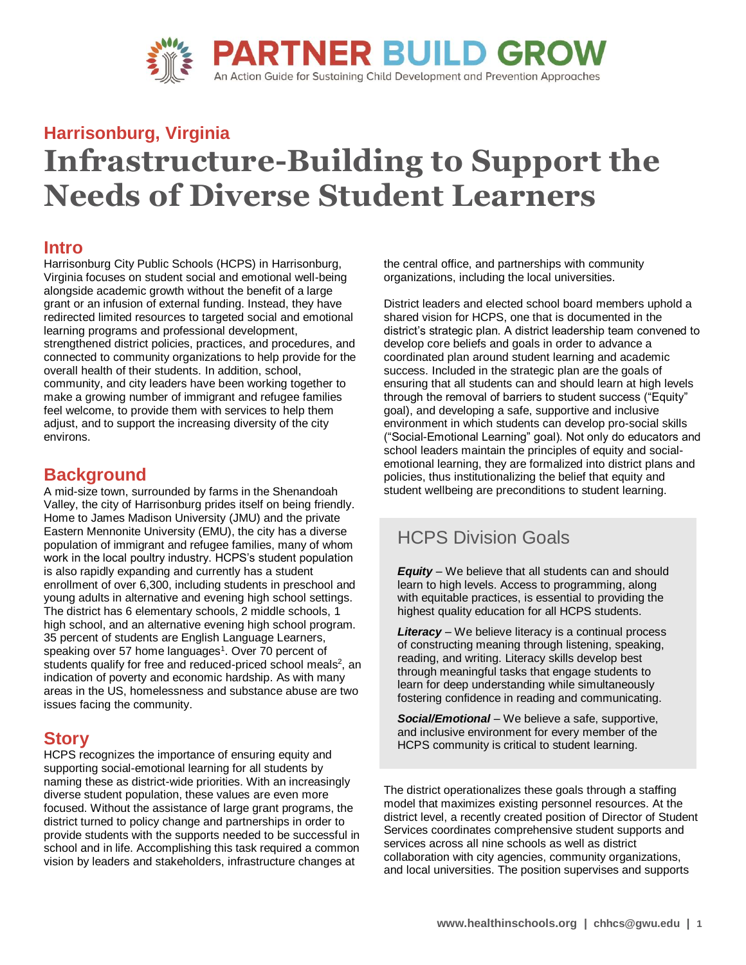

# **Harrisonburg, Virginia Infrastructure-Building to Support the Needs of Diverse Student Learners**

### **Intro**

Harrisonburg City Public Schools (HCPS) in Harrisonburg, Virginia focuses on student social and emotional well-being alongside academic growth without the benefit of a large grant or an infusion of external funding. Instead, they have redirected limited resources to targeted social and emotional learning programs and professional development, strengthened district policies, practices, and procedures, and connected to community organizations to help provide for the overall health of their students. In addition, school, community, and city leaders have been working together to make a growing number of immigrant and refugee families feel welcome, to provide them with services to help them adjust, and to support the increasing diversity of the city environs.

### **Background**

A mid-size town, surrounded by farms in the Shenandoah Valley, the city of Harrisonburg prides itself on being friendly. Home to James Madison University (JMU) and the private Eastern Mennonite University (EMU), the city has a diverse population of immigrant and refugee families, many of whom work in the local poultry industry. HCPS's student population is also rapidly expanding and currently has a student enrollment of over 6,300, including students in preschool and young adults in alternative and evening high school settings. The district has 6 elementary schools, 2 middle schools, 1 high school, and an alternative evening high school program. 35 percent of students are English Language Learners, speaking over 57 home languages<sup>1</sup>. Over 70 percent of students qualify for free and reduced-priced school meals<sup>2</sup>, an indication of poverty and economic hardship. As with many areas in the US, homelessness and substance abuse are two issues facing the community.

### **Story**

HCPS recognizes the importance of ensuring equity and supporting social-emotional learning for all students by naming these as district-wide priorities. With an increasingly diverse student population, these values are even more focused. Without the assistance of large grant programs, the district turned to policy change and partnerships in order to provide students with the supports needed to be successful in school and in life. Accomplishing this task required a common vision by leaders and stakeholders, infrastructure changes at

the central office, and partnerships with community organizations, including the local universities.

District leaders and elected school board members uphold a shared vision for HCPS, one that is documented in the district's strategic plan. A district leadership team convened to develop core beliefs and goals in order to advance a coordinated plan around student learning and academic success. Included in the strategic plan are the goals of ensuring that all students can and should learn at high levels through the removal of barriers to student success ("Equity" goal), and developing a safe, supportive and inclusive environment in which students can develop pro-social skills ("Social-Emotional Learning" goal). Not only do educators and school leaders maintain the principles of equity and socialemotional learning, they are formalized into district plans and policies, thus institutionalizing the belief that equity and student wellbeing are preconditions to student learning.

### HCPS Division Goals

*Equity* – We believe that all students can and should learn to high levels. Access to programming, along with equitable practices, is essential to providing the highest quality education for all HCPS students.

*Literacy* – We believe literacy is a continual process of constructing meaning through listening, speaking, reading, and writing. Literacy skills develop best through meaningful tasks that engage students to learn for deep understanding while simultaneously fostering confidence in reading and communicating.

*Social/Emotional* – We believe a safe, supportive, and inclusive environment for every member of the HCPS community is critical to student learning.

The district operationalizes these goals through a staffing model that maximizes existing personnel resources. At the district level, a recently created position of Director of Student Services coordinates comprehensive student supports and services across all nine schools as well as district collaboration with city agencies, community organizations, and local universities. The position supervises and supports